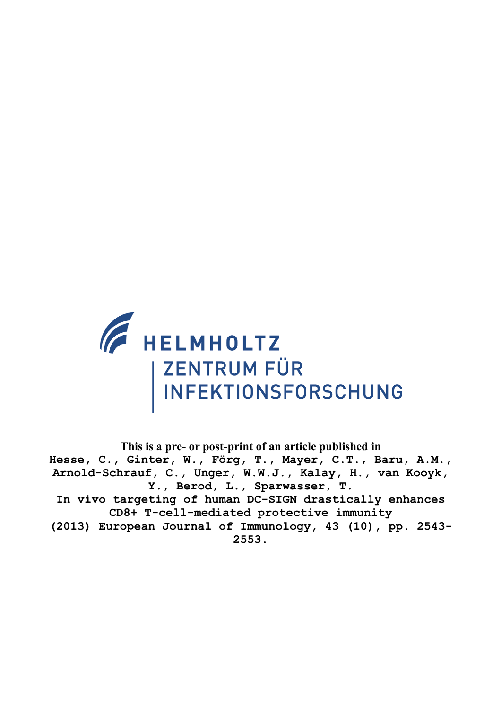

**This is a pre- or post-print of an article published in Hesse, C., Ginter, W., Förg, T., Mayer, C.T., Baru, A.M., Arnold-Schrauf, C., Unger, W.W.J., Kalay, H., van Kooyk, Y., Berod, L., Sparwasser, T. In vivo targeting of human DC-SIGN drastically enhances CD8+ T-cell-mediated protective immunity (2013) European Journal of Immunology, 43 (10), pp. 2543- 2553.**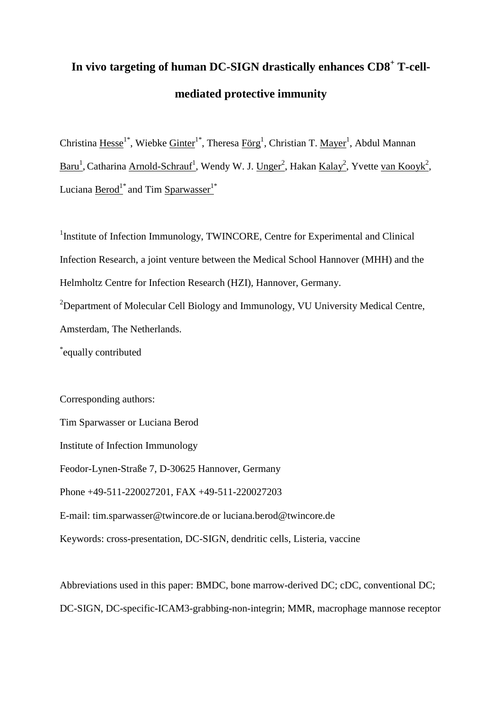# **In vivo targeting of human DC-SIGN drastically enhances CD8<sup>+</sup> T-cellmediated protective immunity**

Christina Hesse<sup>1\*</sup>, Wiebke Ginter<sup>1\*</sup>, Theresa Förg<sup>1</sup>, Christian T. Mayer<sup>1</sup>, Abdul Mannan Baru<sup>1</sup>, Catharina Arnold-Schrauf<sup>1</sup>, Wendy W. J. Unger<sup>2</sup>, Hakan Kalay<sup>2</sup>, Yvette van Kooyk<sup>2</sup>, Luciana Berod<sup>1\*</sup> and Tim Sparwasser<sup>1\*</sup>

<sup>1</sup>Institute of Infection Immunology, TWINCORE, Centre for Experimental and Clinical Infection Research, a joint venture between the Medical School Hannover (MHH) and the Helmholtz Centre for Infection Research (HZI), Hannover, Germany. <sup>2</sup>Department of Molecular Cell Biology and Immunology, VU University Medical Centre, Amsterdam, The Netherlands.

\* equally contributed

Corresponding authors:

Tim Sparwasser or Luciana Berod

Institute of Infection Immunology

Feodor-Lynen-Straße 7, D-30625 Hannover, Germany

Phone +49-511-220027201, FAX +49-511-220027203

E-mail: [tim.sparwasser@twincore.de](mailto:tim.sparwasser@twincore.de) or luciana.berod@twincore.de

Keywords: cross-presentation, DC-SIGN, dendritic cells, Listeria, vaccine

Abbreviations used in this paper: BMDC, bone marrow-derived DC; cDC, conventional DC; DC-SIGN, DC-specific-ICAM3-grabbing-non-integrin; MMR, macrophage mannose receptor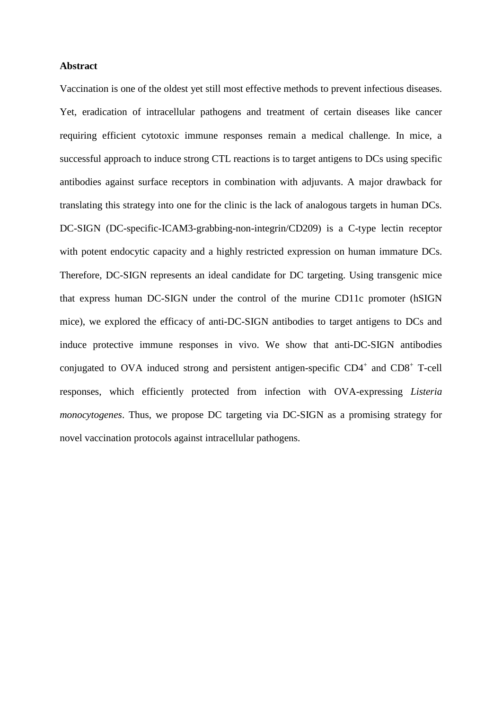#### **Abstract**

Vaccination is one of the oldest yet still most effective methods to prevent infectious diseases. Yet, eradication of intracellular pathogens and treatment of certain diseases like cancer requiring efficient cytotoxic immune responses remain a medical challenge. In mice, a successful approach to induce strong CTL reactions is to target antigens to DCs using specific antibodies against surface receptors in combination with adjuvants. A major drawback for translating this strategy into one for the clinic is the lack of analogous targets in human DCs. DC-SIGN (DC-specific-ICAM3-grabbing-non-integrin/CD209) is a C-type lectin receptor with potent endocytic capacity and a highly restricted expression on human immature DCs. Therefore, DC-SIGN represents an ideal candidate for DC targeting. Using transgenic mice that express human DC-SIGN under the control of the murine CD11c promoter (hSIGN mice), we explored the efficacy of anti-DC-SIGN antibodies to target antigens to DCs and induce protective immune responses in vivo. We show that anti-DC-SIGN antibodies conjugated to OVA induced strong and persistent antigen-specific  $CD4^+$  and  $CD8^+$  T-cell responses, which efficiently protected from infection with OVA-expressing *Listeria monocytogenes*. Thus, we propose DC targeting via DC-SIGN as a promising strategy for novel vaccination protocols against intracellular pathogens.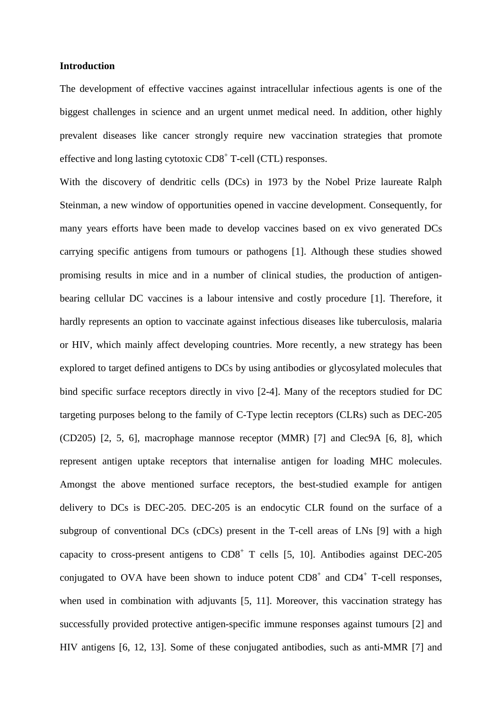#### **Introduction**

The development of effective vaccines against intracellular infectious agents is one of the biggest challenges in science and an urgent unmet medical need. In addition, other highly prevalent diseases like cancer strongly require new vaccination strategies that promote effective and long lasting cytotoxic  $CD8<sup>+</sup>$  T-cell (CTL) responses.

With the discovery of dendritic cells (DCs) in 1973 by the Nobel Prize laureate Ralph Steinman, a new window of opportunities opened in vaccine development. Consequently, for many years efforts have been made to develop vaccines based on ex vivo generated DCs carrying specific antigens from tumours or pathogens [\[1\]](#page-21-0). Although these studies showed promising results in mice and in a number of clinical studies, the production of antigenbearing cellular DC vaccines is a labour intensive and costly procedure [\[1\]](#page-21-0). Therefore, it hardly represents an option to vaccinate against infectious diseases like tuberculosis, malaria or HIV, which mainly affect developing countries. More recently, a new strategy has been explored to target defined antigens to DCs by using antibodies or glycosylated molecules that bind specific surface receptors directly in vivo [\[2-4\]](#page-21-1). Many of the receptors studied for DC targeting purposes belong to the family of C-Type lectin receptors (CLRs) such as DEC-205 (CD205) [\[2,](#page-21-1) [5,](#page-21-2) [6\]](#page-21-3), macrophage mannose receptor (MMR) [\[7\]](#page-21-4) and Clec9A [\[6,](#page-21-3) [8\]](#page-21-5), which represent antigen uptake receptors that internalise antigen for loading MHC molecules. Amongst the above mentioned surface receptors, the best-studied example for antigen delivery to DCs is DEC-205. DEC-205 is an endocytic CLR found on the surface of a subgroup of conventional DCs (cDCs) present in the T-cell areas of LNs [\[9\]](#page-21-6) with a high capacity to cross-present antigens to  $CD8<sup>+</sup>$  T cells [\[5,](#page-21-2) [10\]](#page-21-7). Antibodies against DEC-205 conjugated to OVA have been shown to induce potent  $CD8<sup>+</sup>$  and  $CD4<sup>+</sup>$  T-cell responses, when used in combination with adjuvants [\[5,](#page-21-2) [11\]](#page-21-8). Moreover, this vaccination strategy has successfully provided protective antigen-specific immune responses against tumours [\[2\]](#page-21-1) and HIV antigens [\[6,](#page-21-3) [12,](#page-21-9) [13\]](#page-21-10). Some of these conjugated antibodies, such as anti-MMR [\[7\]](#page-21-4) and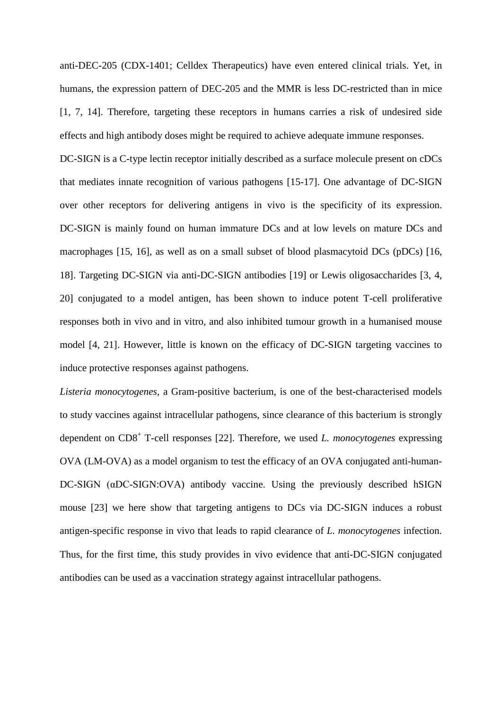anti-DEC-205 (CDX-1401; Celldex Therapeutics) have even entered clinical trials. Yet, in humans, the expression pattern of DEC-205 and the MMR is less DC-restricted than in mice [\[1,](#page-21-0) [7,](#page-21-4) [14\]](#page-21-11). Therefore, targeting these receptors in humans carries a risk of undesired side effects and high antibody doses might be required to achieve adequate immune responses.

DC-SIGN is a C-type lectin receptor initially described as a surface molecule present on cDCs that mediates innate recognition of various pathogens [\[15-17\]](#page-22-0). One advantage of DC-SIGN over other receptors for delivering antigens in vivo is the specificity of its expression. DC-SIGN is mainly found on human immature DCs and at low levels on mature DCs and macrophages [\[15,](#page-22-0) [16\]](#page-22-1), as well as on a small subset of blood plasmacytoid DCs (pDCs) [\[16,](#page-22-1) [18\]](#page-22-2). Targeting DC-SIGN via anti-DC-SIGN antibodies [\[19\]](#page-22-3) or Lewis oligosaccharides [\[3,](#page-21-12) [4,](#page-21-13) [20\]](#page-22-4) conjugated to a model antigen, has been shown to induce potent T-cell proliferative responses both in vivo and in vitro, and also inhibited tumour growth in a humanised mouse model [\[4,](#page-21-13) [21\]](#page-22-5). However, little is known on the efficacy of DC-SIGN targeting vaccines to induce protective responses against pathogens.

*Listeria monocytogenes*, a Gram-positive bacterium, is one of the best-characterised models to study vaccines against intracellular pathogens, since clearance of this bacterium is strongly dependent on CD8+ T-cell responses [\[22\]](#page-22-6). Therefore, we used *L. monocytogenes* expressing OVA (LM-OVA) as a model organism to test the efficacy of an OVA conjugated anti-human-DC-SIGN (αDC-SIGN:OVA) antibody vaccine. Using the previously described hSIGN mouse [\[23\]](#page-22-7) we here show that targeting antigens to DCs via DC-SIGN induces a robust antigen-specific response in vivo that leads to rapid clearance of *L. monocytogenes* infection. Thus, for the first time, this study provides in vivo evidence that anti-DC-SIGN conjugated antibodies can be used as a vaccination strategy against intracellular pathogens.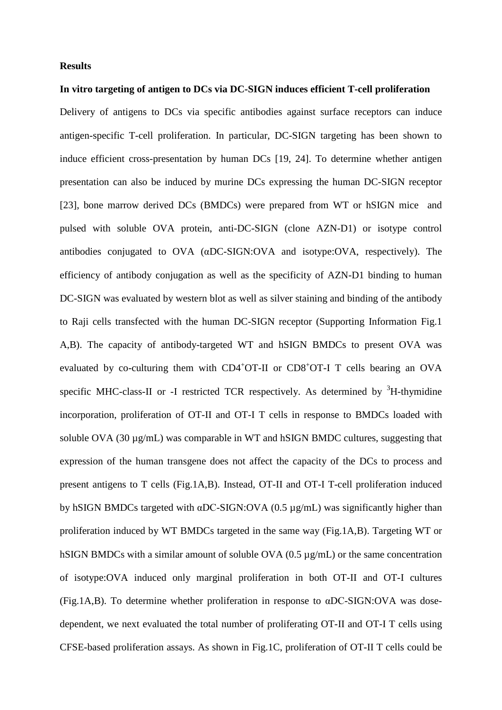#### **Results**

#### **In vitro targeting of antigen to DCs via DC-SIGN induces efficient T-cell proliferation**

Delivery of antigens to DCs via specific antibodies against surface receptors can induce antigen-specific T-cell proliferation. In particular, DC-SIGN targeting has been shown to induce efficient cross-presentation by human DCs [\[19,](#page-22-3) [24\]](#page-22-8). To determine whether antigen presentation can also be induced by murine DCs expressing the human DC-SIGN receptor [\[23\]](#page-22-7), bone marrow derived DCs (BMDCs) were prepared from WT or hSIGN mice and pulsed with soluble OVA protein, anti-DC-SIGN (clone AZN-D1) or isotype control antibodies conjugated to OVA (αDC-SIGN:OVA and isotype:OVA, respectively). The efficiency of antibody conjugation as well as the specificity of AZN-D1 binding to human DC-SIGN was evaluated by western blot as well as silver staining and binding of the antibody to Raji cells transfected with the human DC-SIGN receptor (Supporting Information Fig.1 A,B). The capacity of antibody-targeted WT and hSIGN BMDCs to present OVA was evaluated by co-culturing them with CD4<sup>+</sup>OT-II or CD8<sup>+</sup>OT-I T cells bearing an OVA specific MHC-class-II or -I restricted TCR respectively. As determined by  ${}^{3}$ H-thymidine incorporation, proliferation of OT-II and OT-I T cells in response to BMDCs loaded with soluble OVA (30 µg/mL) was comparable in WT and hSIGN BMDC cultures, suggesting that expression of the human transgene does not affect the capacity of the DCs to process and present antigens to T cells (Fig.1A,B). Instead, OT-II and OT-I T-cell proliferation induced by hSIGN BMDCs targeted with αDC-SIGN:OVA (0.5 µg/mL) was significantly higher than proliferation induced by WT BMDCs targeted in the same way (Fig.1A,B). Targeting WT or hSIGN BMDCs with a similar amount of soluble OVA  $(0.5 \mu g/mL)$  or the same concentration of isotype:OVA induced only marginal proliferation in both OT-II and OT-I cultures (Fig.1A,B). To determine whether proliferation in response to αDC-SIGN:OVA was dosedependent, we next evaluated the total number of proliferating OT-II and OT-I T cells using CFSE-based proliferation assays. As shown in Fig.1C, proliferation of OT-II T cells could be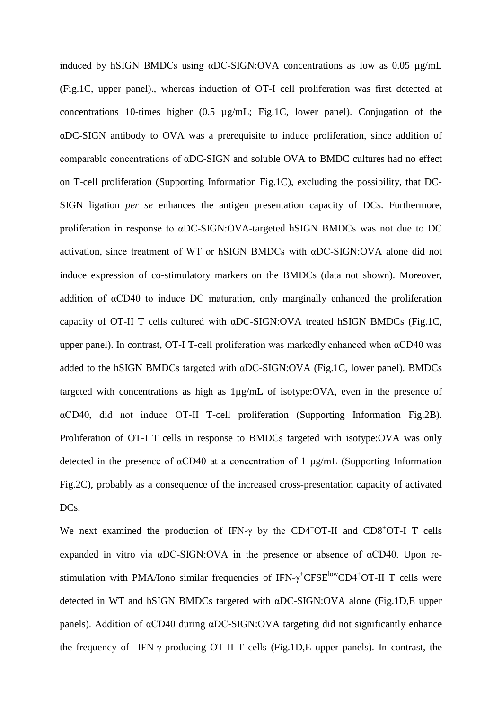induced by hSIGN BMDCs using αDC-SIGN:OVA concentrations as low as 0.05 µg/mL (Fig.1C, upper panel)., whereas induction of OT-I cell proliferation was first detected at concentrations 10-times higher (0.5 µg/mL; Fig.1C, lower panel). Conjugation of the αDC-SIGN antibody to OVA was a prerequisite to induce proliferation, since addition of comparable concentrations of αDC-SIGN and soluble OVA to BMDC cultures had no effect on T-cell proliferation (Supporting Information Fig.1C), excluding the possibility, that DC-SIGN ligation *per se* enhances the antigen presentation capacity of DCs. Furthermore, proliferation in response to αDC-SIGN:OVA-targeted hSIGN BMDCs was not due to DC activation, since treatment of WT or hSIGN BMDCs with αDC-SIGN:OVA alone did not induce expression of co-stimulatory markers on the BMDCs (data not shown). Moreover, addition of αCD40 to induce DC maturation, only marginally enhanced the proliferation capacity of OT-II T cells cultured with αDC-SIGN:OVA treated hSIGN BMDCs (Fig.1C, upper panel). In contrast, OT-I T-cell proliferation was markedly enhanced when αCD40 was added to the hSIGN BMDCs targeted with αDC-SIGN:OVA (Fig.1C, lower panel). BMDCs targeted with concentrations as high as 1µg/mL of isotype:OVA, even in the presence of αCD40, did not induce OT-II T-cell proliferation (Supporting Information Fig.2B). Proliferation of OT-I T cells in response to BMDCs targeted with isotype:OVA was only detected in the presence of αCD40 at a concentration of 1 µg/mL (Supporting Information Fig.2C), probably as a consequence of the increased cross-presentation capacity of activated DC<sub>s</sub>.

We next examined the production of IFN- $\gamma$  by the CD4<sup>+</sup>OT-II and CD8<sup>+</sup>OT-I T cells expanded in vitro via αDC-SIGN:OVA in the presence or absence of αCD40. Upon restimulation with PMA/Iono similar frequencies of  $IFN-\gamma^+CFSE^{low}CD4+OT-II$  T cells were detected in WT and hSIGN BMDCs targeted with αDC-SIGN:OVA alone (Fig.1D,E upper panels). Addition of αCD40 during αDC-SIGN:OVA targeting did not significantly enhance the frequency of IFN-γ-producing OT-II T cells (Fig.1D,E upper panels). In contrast, the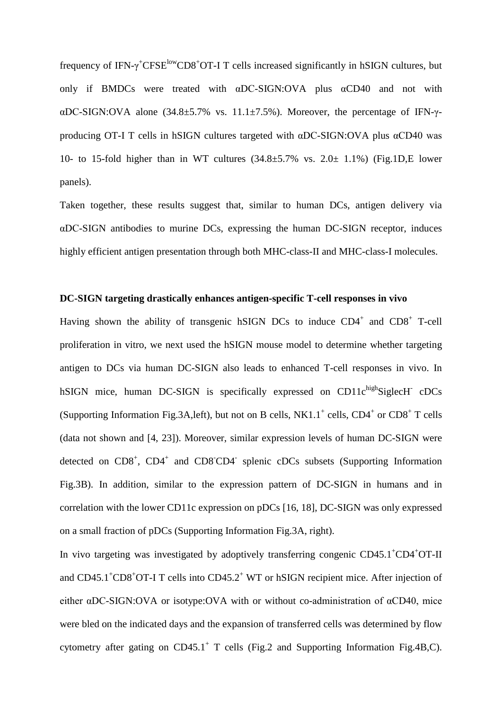frequency of IFN- $\gamma$ <sup>+</sup>CFSE<sup>low</sup>CD8<sup>+</sup>OT-I T cells increased significantly in hSIGN cultures, but only if BMDCs were treated with αDC-SIGN:OVA plus αCD40 and not with αDC-SIGN:OVA alone (34.8±5.7% vs. 11.1±7.5%). Moreover, the percentage of IFN-γproducing OT-I T cells in hSIGN cultures targeted with αDC-SIGN:OVA plus αCD40 was 10- to 15-fold higher than in WT cultures  $(34.8\pm5.7\%$  vs.  $2.0\pm$  1.1%) (Fig.1D, E lower panels).

Taken together, these results suggest that, similar to human DCs, antigen delivery via αDC-SIGN antibodies to murine DCs, expressing the human DC-SIGN receptor, induces highly efficient antigen presentation through both MHC-class-II and MHC-class-I molecules.

#### **DC-SIGN targeting drastically enhances antigen-specific T-cell responses in vivo**

Having shown the ability of transgenic hSIGN DCs to induce  $CD4^+$  and  $CD8^+$  T-cell proliferation in vitro, we next used the hSIGN mouse model to determine whether targeting antigen to DCs via human DC-SIGN also leads to enhanced T-cell responses in vivo. In hSIGN mice, human DC-SIGN is specifically expressed on  $CD11c^{high}$ SiglecH  $cDCs$ (Supporting Information Fig.3A, left), but not on B cells,  $NKL.1^+$  cells,  $CD4^+$  or  $CD8^+$  T cells (data not shown and [\[4,](#page-21-13) [23\]](#page-22-7)). Moreover, similar expression levels of human DC-SIGN were detected on CD8<sup>+</sup>, CD4<sup>+</sup> and CD8<sup>-</sup>CD4<sup>-</sup> splenic cDCs subsets (Supporting Information Fig.3B). In addition, similar to the expression pattern of DC-SIGN in humans and in correlation with the lower CD11c expression on pDCs [\[16,](#page-22-1) [18\]](#page-22-2), DC-SIGN was only expressed on a small fraction of pDCs (Supporting Information Fig.3A, right).

In vivo targeting was investigated by adoptively transferring congenic CD45.1<sup>+</sup>CD4<sup>+</sup>OT-II and CD45.1<sup>+</sup>CD8<sup>+</sup>OT-I T cells into CD45.2<sup>+</sup> WT or hSIGN recipient mice. After injection of either αDC-SIGN:OVA or isotype:OVA with or without co-administration of αCD40, mice were bled on the indicated days and the expansion of transferred cells was determined by flow cytometry after gating on  $CD45.1^+$  T cells (Fig.2 and Supporting Information Fig.4B,C).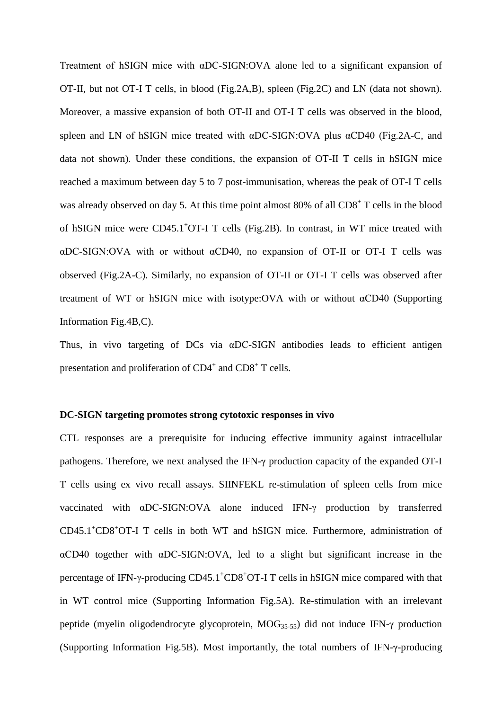Treatment of hSIGN mice with αDC-SIGN:OVA alone led to a significant expansion of OT-II, but not OT-I T cells, in blood (Fig.2A,B), spleen (Fig.2C) and LN (data not shown). Moreover, a massive expansion of both OT-II and OT-I T cells was observed in the blood, spleen and LN of hSIGN mice treated with αDC-SIGN:OVA plus αCD40 (Fig.2A-C, and data not shown). Under these conditions, the expansion of OT-II T cells in hSIGN mice reached a maximum between day 5 to 7 post-immunisation, whereas the peak of OT-I T cells was already observed on day 5. At this time point almost  $80\%$  of all CD8<sup>+</sup> T cells in the blood of hSIGN mice were CD45.1<sup>+</sup>OT-I T cells (Fig.2B). In contrast, in WT mice treated with αDC-SIGN:OVA with or without αCD40, no expansion of OT-II or OT-I T cells was observed (Fig.2A-C). Similarly, no expansion of OT-II or OT-I T cells was observed after treatment of WT or hSIGN mice with isotype:OVA with or without αCD40 (Supporting Information Fig.4B,C).

Thus, in vivo targeting of DCs via αDC-SIGN antibodies leads to efficient antigen presentation and proliferation of  $CD4^+$  and  $CD8^+$  T cells.

#### **DC-SIGN targeting promotes strong cytotoxic responses in vivo**

CTL responses are a prerequisite for inducing effective immunity against intracellular pathogens. Therefore, we next analysed the IFN-γ production capacity of the expanded OT-I T cells using ex vivo recall assays. SIINFEKL re-stimulation of spleen cells from mice vaccinated with αDC-SIGN:OVA alone induced IFN-γ production by transferred CD45.1<sup>+</sup> CD8+ OT-I T cells in both WT and hSIGN mice. Furthermore, administration of αCD40 together with αDC-SIGN:OVA, led to a slight but significant increase in the percentage of IFN-γ-producing CD45.1<sup>+</sup>CD8<sup>+</sup>OT-I T cells in hSIGN mice compared with that in WT control mice (Supporting Information Fig.5A). Re-stimulation with an irrelevant peptide (myelin oligodendrocyte glycoprotein, MOG35-55) did not induce IFN-γ production (Supporting Information Fig.5B). Most importantly, the total numbers of IFN-γ-producing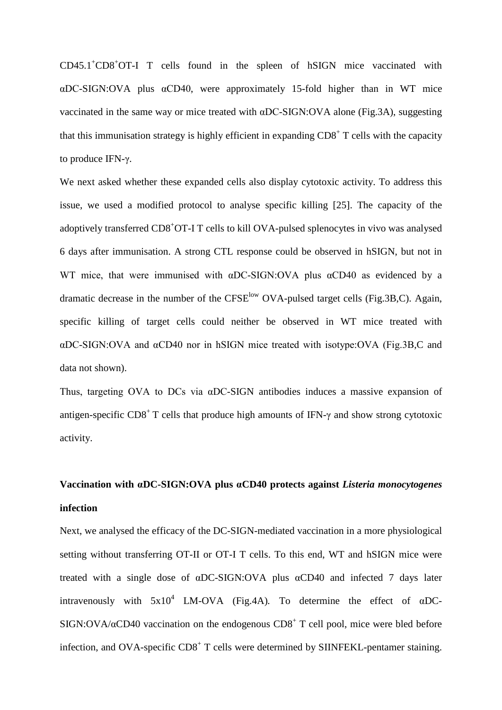CD45.1+ CD8+ OT-I T cells found in the spleen of hSIGN mice vaccinated with αDC-SIGN:OVA plus αCD40, were approximately 15-fold higher than in WT mice vaccinated in the same way or mice treated with αDC-SIGN:OVA alone (Fig.3A), suggesting that this immunisation strategy is highly efficient in expanding  $CD8<sup>+</sup>$  T cells with the capacity to produce IFN-γ.

We next asked whether these expanded cells also display cytotoxic activity. To address this issue, we used a modified protocol to analyse specific killing [\[25\]](#page-22-9). The capacity of the adoptively transferred CD8+ OT-I T cells to kill OVA-pulsed splenocytes in vivo was analysed 6 days after immunisation. A strong CTL response could be observed in hSIGN, but not in WT mice, that were immunised with  $\alpha$ DC-SIGN:OVA plus  $\alpha$ CD40 as evidenced by a dramatic decrease in the number of the CFSE<sup>low</sup> OVA-pulsed target cells (Fig.3B,C). Again, specific killing of target cells could neither be observed in WT mice treated with αDC-SIGN:OVA and αCD40 nor in hSIGN mice treated with isotype:OVA (Fig.3B,C and data not shown).

Thus, targeting OVA to DCs via αDC-SIGN antibodies induces a massive expansion of antigen-specific  $CD8^+$  T cells that produce high amounts of IFN- $\gamma$  and show strong cytotoxic activity.

# **Vaccination with αDC-SIGN:OVA plus αCD40 protects against** *Listeria monocytogenes*  **infection**

Next, we analysed the efficacy of the DC-SIGN-mediated vaccination in a more physiological setting without transferring OT-II or OT-I T cells. To this end, WT and hSIGN mice were treated with a single dose of αDC-SIGN:OVA plus αCD40 and infected 7 days later intravenously with  $5x10^4$  LM-OVA (Fig.4A). To determine the effect of  $\alpha$ DC-SIGN:OVA/ $\alpha$ CD40 vaccination on the endogenous CD8<sup>+</sup> T cell pool, mice were bled before infection, and OVA-specific  $CD8<sup>+</sup>$  T cells were determined by SIINFEKL-pentamer staining.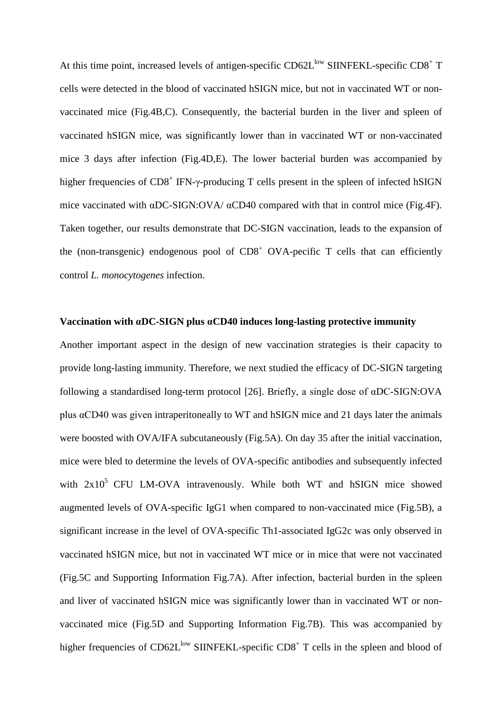At this time point, increased levels of antigen-specific  $CD62L^{low}$  SIINFEKL-specific  $CD8^+$  T cells were detected in the blood of vaccinated hSIGN mice, but not in vaccinated WT or nonvaccinated mice (Fig.4B,C). Consequently, the bacterial burden in the liver and spleen of vaccinated hSIGN mice, was significantly lower than in vaccinated WT or non-vaccinated mice 3 days after infection (Fig.4D,E). The lower bacterial burden was accompanied by higher frequencies of  $CD8^+$  IFN- $\gamma$ -producing T cells present in the spleen of infected hSIGN mice vaccinated with αDC-SIGN:OVA/ αCD40 compared with that in control mice (Fig.4F). Taken together, our results demonstrate that DC-SIGN vaccination, leads to the expansion of the (non-transgenic) endogenous pool of  $CD8<sup>+</sup> OVA$ -pecific T cells that can efficiently control *L. monocytogenes* infection.

#### **Vaccination with αDC-SIGN plus αCD40 induces long-lasting protective immunity**

Another important aspect in the design of new vaccination strategies is their capacity to provide long-lasting immunity. Therefore, we next studied the efficacy of DC-SIGN targeting following a standardised long-term protocol [\[26\]](#page-22-10). Briefly, a single dose of αDC-SIGN:OVA plus αCD40 was given intraperitoneally to WT and hSIGN mice and 21 days later the animals were boosted with OVA/IFA subcutaneously (Fig.5A). On day 35 after the initial vaccination, mice were bled to determine the levels of OVA-specific antibodies and subsequently infected with  $2x10^5$  CFU LM-OVA intravenously. While both WT and hSIGN mice showed augmented levels of OVA-specific IgG1 when compared to non-vaccinated mice (Fig.5B), a significant increase in the level of OVA-specific Th1-associated IgG2c was only observed in vaccinated hSIGN mice, but not in vaccinated WT mice or in mice that were not vaccinated (Fig.5C and Supporting Information Fig.7A). After infection, bacterial burden in the spleen and liver of vaccinated hSIGN mice was significantly lower than in vaccinated WT or nonvaccinated mice (Fig.5D and Supporting Information Fig.7B). This was accompanied by higher frequencies of  $CD62L^{low}$  SIINFEKL-specific  $CD8^+$  T cells in the spleen and blood of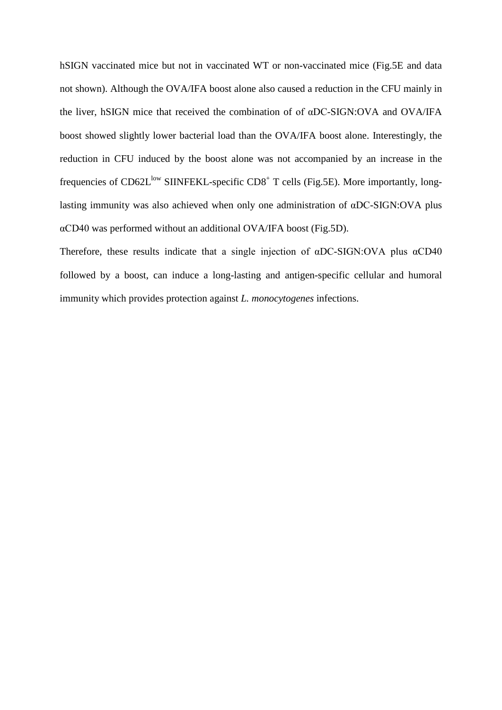hSIGN vaccinated mice but not in vaccinated WT or non-vaccinated mice (Fig.5E and data not shown). Although the OVA/IFA boost alone also caused a reduction in the CFU mainly in the liver, hSIGN mice that received the combination of of αDC-SIGN:OVA and OVA/IFA boost showed slightly lower bacterial load than the OVA/IFA boost alone. Interestingly, the reduction in CFU induced by the boost alone was not accompanied by an increase in the frequencies of CD62L<sup>low</sup> SIINFEKL-specific CD8<sup>+</sup> T cells (Fig.5E). More importantly, longlasting immunity was also achieved when only one administration of αDC-SIGN:OVA plus αCD40 was performed without an additional OVA/IFA boost (Fig.5D).

Therefore, these results indicate that a single injection of αDC-SIGN:OVA plus αCD40 followed by a boost, can induce a long-lasting and antigen-specific cellular and humoral immunity which provides protection against *L. monocytogenes* infections.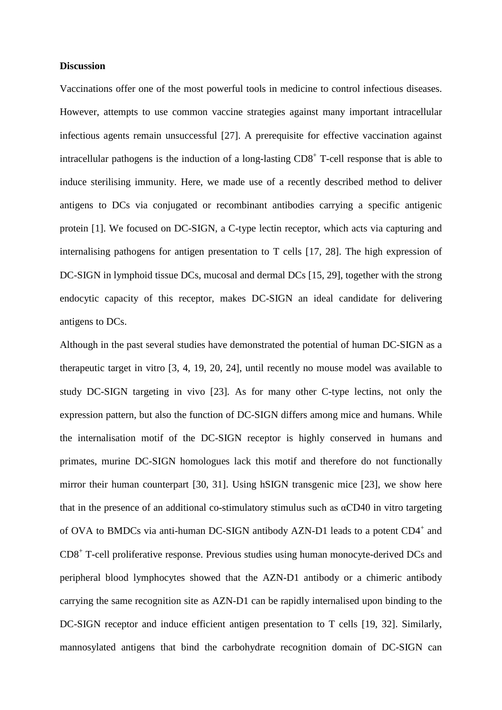#### **Discussion**

Vaccinations offer one of the most powerful tools in medicine to control infectious diseases. However, attempts to use common vaccine strategies against many important intracellular infectious agents remain unsuccessful [\[27\]](#page-22-11). A prerequisite for effective vaccination against intracellular pathogens is the induction of a long-lasting  $CD8<sup>+</sup>$  T-cell response that is able to induce sterilising immunity. Here, we made use of a recently described method to deliver antigens to DCs via conjugated or recombinant antibodies carrying a specific antigenic protein [\[1\]](#page-21-0). We focused on DC-SIGN, a C-type lectin receptor, which acts via capturing and internalising pathogens for antigen presentation to T cells [\[17,](#page-22-12) [28\]](#page-22-13). The high expression of DC-SIGN in lymphoid tissue DCs, mucosal and dermal DCs [\[15,](#page-22-0) [29\]](#page-22-14), together with the strong endocytic capacity of this receptor, makes DC-SIGN an ideal candidate for delivering antigens to DCs.

Although in the past several studies have demonstrated the potential of human DC-SIGN as a therapeutic target in vitro [\[3,](#page-21-12) [4,](#page-21-13) [19,](#page-22-3) [20,](#page-22-4) [24\]](#page-22-8), until recently no mouse model was available to study DC-SIGN targeting in vivo [\[23\]](#page-22-7)*.* As for many other C-type lectins, not only the expression pattern, but also the function of DC-SIGN differs among mice and humans. While the internalisation motif of the DC-SIGN receptor is highly conserved in humans and primates, murine DC-SIGN homologues lack this motif and therefore do not functionally mirror their human counterpart [\[30,](#page-22-15) [31\]](#page-23-0). Using hSIGN transgenic mice [\[23\]](#page-22-7), we show here that in the presence of an additional co-stimulatory stimulus such as  $\alpha$ CD40 in vitro targeting of OVA to BMDCs via anti-human DC-SIGN antibody AZN-D1 leads to a potent CD4<sup>+</sup> and CD8+ T-cell proliferative response. Previous studies using human monocyte-derived DCs and peripheral blood lymphocytes showed that the AZN-D1 antibody or a chimeric antibody carrying the same recognition site as AZN-D1 can be rapidly internalised upon binding to the DC-SIGN receptor and induce efficient antigen presentation to T cells [\[19,](#page-22-3) [32\]](#page-23-1). Similarly, mannosylated antigens that bind the carbohydrate recognition domain of DC-SIGN can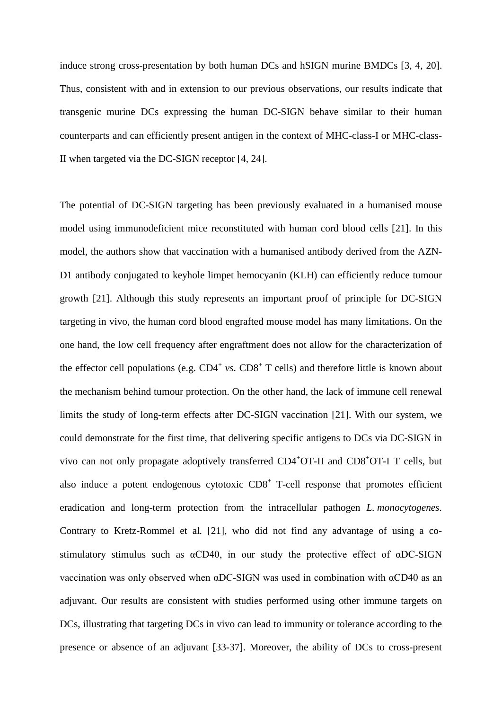induce strong cross-presentation by both human DCs and hSIGN murine BMDCs [\[3,](#page-21-12) [4,](#page-21-13) [20\]](#page-22-4). Thus, consistent with and in extension to our previous observations, our results indicate that transgenic murine DCs expressing the human DC-SIGN behave similar to their human counterparts and can efficiently present antigen in the context of MHC-class-I or MHC-class-II when targeted via the DC-SIGN receptor [\[4,](#page-21-13) [24\]](#page-22-8).

The potential of DC-SIGN targeting has been previously evaluated in a humanised mouse model using immunodeficient mice reconstituted with human cord blood cells [\[21\]](#page-22-5). In this model, the authors show that vaccination with a humanised antibody derived from the AZN-D1 antibody conjugated to keyhole limpet hemocyanin (KLH) can efficiently reduce tumour growth [\[21\]](#page-22-5). Although this study represents an important proof of principle for DC-SIGN targeting in vivo, the human cord blood engrafted mouse model has many limitations. On the one hand, the low cell frequency after engraftment does not allow for the characterization of the effector cell populations (e.g.  $CD4^+$  *vs*.  $CD8^+$  T cells) and therefore little is known about the mechanism behind tumour protection. On the other hand, the lack of immune cell renewal limits the study of long-term effects after DC-SIGN vaccination [\[21\]](#page-22-5). With our system, we could demonstrate for the first time, that delivering specific antigens to DCs via DC-SIGN in vivo can not only propagate adoptively transferred CD4<sup>+</sup>OT-II and CD8<sup>+</sup>OT-I T cells, but also induce a potent endogenous cytotoxic  $CD8<sup>+</sup>$  T-cell response that promotes efficient eradication and long-term protection from the intracellular pathogen *L. monocytogenes*. Contrary to Kretz-Rommel et al*.* [\[21\]](#page-22-5), who did not find any advantage of using a costimulatory stimulus such as αCD40, in our study the protective effect of αDC-SIGN vaccination was only observed when αDC-SIGN was used in combination with αCD40 as an adjuvant. Our results are consistent with studies performed using other immune targets on DCs, illustrating that targeting DCs in vivo can lead to immunity or tolerance according to the presence or absence of an adjuvant [\[33-37\]](#page-23-2). Moreover, the ability of DCs to cross-present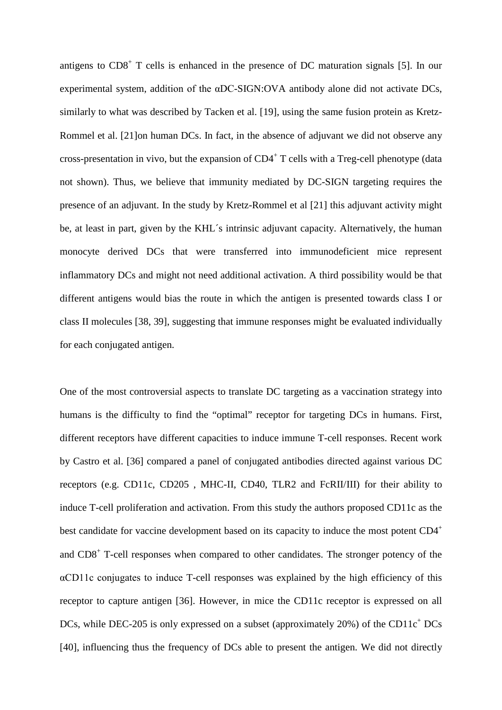antigens to  $CD8<sup>+</sup>$  T cells is enhanced in the presence of DC maturation signals [\[5\]](#page-21-2). In our experimental system, addition of the αDC-SIGN:OVA antibody alone did not activate DCs, similarly to what was described by Tacken et al. [\[19\]](#page-22-3), using the same fusion protein as Kretz-Rommel et al. [\[21\]](#page-22-5)on human DCs. In fact, in the absence of adjuvant we did not observe any cross-presentation in vivo, but the expansion of  $CD4^+$  T cells with a Treg-cell phenotype (data not shown). Thus, we believe that immunity mediated by DC-SIGN targeting requires the presence of an adjuvant. In the study by Kretz-Rommel et al [\[21\]](#page-22-5) this adjuvant activity might be, at least in part, given by the KHL´s intrinsic adjuvant capacity. Alternatively, the human monocyte derived DCs that were transferred into immunodeficient mice represent inflammatory DCs and might not need additional activation. A third possibility would be that different antigens would bias the route in which the antigen is presented towards class I or class II molecules [\[38,](#page-23-3) [39\]](#page-23-4), suggesting that immune responses might be evaluated individually for each conjugated antigen.

One of the most controversial aspects to translate DC targeting as a vaccination strategy into humans is the difficulty to find the "optimal" receptor for targeting DCs in humans. First, different receptors have different capacities to induce immune T-cell responses. Recent work by Castro et al. [\[36\]](#page-23-5) compared a panel of conjugated antibodies directed against various DC receptors (e.g. CD11c, CD205 , MHC-II, CD40, TLR2 and FcRII/III) for their ability to induce T-cell proliferation and activation. From this study the authors proposed CD11c as the best candidate for vaccine development based on its capacity to induce the most potent CD4<sup>+</sup> and CD8+ T-cell responses when compared to other candidates. The stronger potency of the αCD11c conjugates to induce T-cell responses was explained by the high efficiency of this receptor to capture antigen [\[36\]](#page-23-5). However, in mice the CD11c receptor is expressed on all DCs, while DEC-205 is only expressed on a subset (approximately  $20\%$ ) of the CD11 $c^+$ DCs [\[40\]](#page-23-6), influencing thus the frequency of DCs able to present the antigen. We did not directly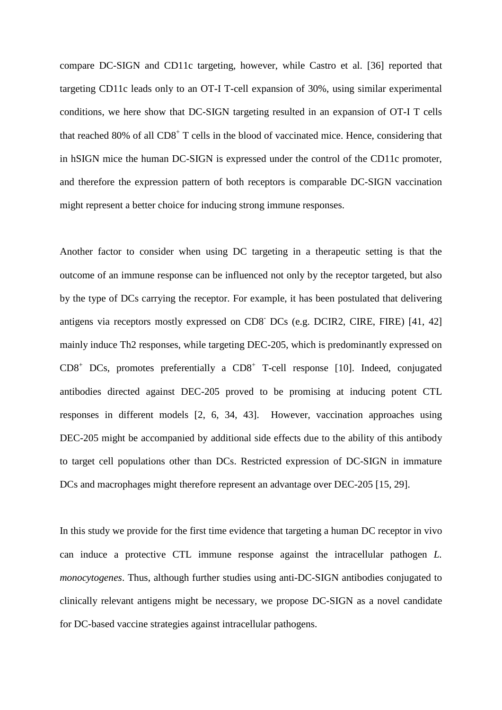compare DC-SIGN and CD11c targeting, however, while Castro et al. [\[36\]](#page-23-5) reported that targeting CD11c leads only to an OT-I T-cell expansion of 30%, using similar experimental conditions, we here show that DC-SIGN targeting resulted in an expansion of OT-I T cells that reached 80% of all  $CD8<sup>+</sup>$  T cells in the blood of vaccinated mice. Hence, considering that in hSIGN mice the human DC-SIGN is expressed under the control of the CD11c promoter, and therefore the expression pattern of both receptors is comparable DC-SIGN vaccination might represent a better choice for inducing strong immune responses.

Another factor to consider when using DC targeting in a therapeutic setting is that the outcome of an immune response can be influenced not only by the receptor targeted, but also by the type of DCs carrying the receptor. For example, it has been postulated that delivering antigens via receptors mostly expressed on CD8- DCs (e.g. DCIR2, CIRE, FIRE) [\[41,](#page-23-7) [42\]](#page-23-8) mainly induce Th2 responses, while targeting DEC-205, which is predominantly expressed on  $CD8<sup>+</sup> DCs$ , promotes preferentially a  $CD8<sup>+</sup> T-cell$  response [\[10\]](#page-21-7). Indeed, conjugated antibodies directed against DEC-205 proved to be promising at inducing potent CTL responses in different models [\[2,](#page-21-1) [6,](#page-21-3) [34,](#page-23-9) [43\]](#page-23-10). However, vaccination approaches using DEC-205 might be accompanied by additional side effects due to the ability of this antibody to target cell populations other than DCs. Restricted expression of DC-SIGN in immature DCs and macrophages might therefore represent an advantage over DEC-205 [\[15,](#page-22-0) [29\]](#page-22-14).

In this study we provide for the first time evidence that targeting a human DC receptor in vivo can induce a protective CTL immune response against the intracellular pathogen *L. monocytogenes*. Thus, although further studies using anti-DC-SIGN antibodies conjugated to clinically relevant antigens might be necessary, we propose DC-SIGN as a novel candidate for DC-based vaccine strategies against intracellular pathogens.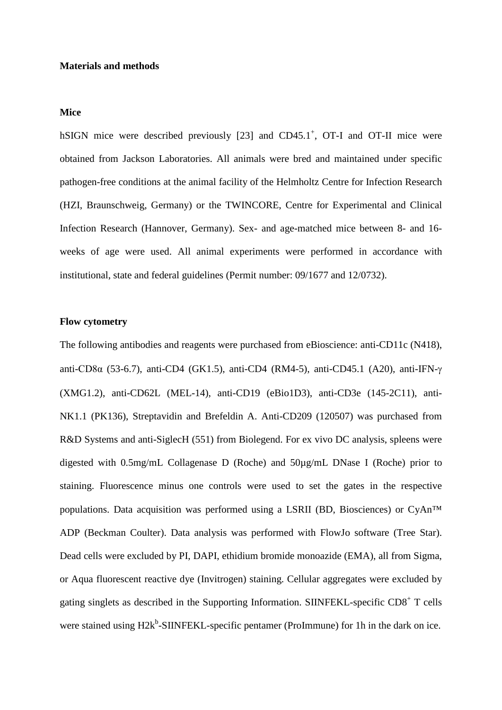#### **Materials and methods**

#### **Mice**

hSIGN mice were described previously [\[23\]](#page-22-7) and CD45.1<sup>+</sup>, OT-I and OT-II mice were obtained from Jackson Laboratories. All animals were bred and maintained under specific pathogen-free conditions at the animal facility of the Helmholtz Centre for Infection Research (HZI, Braunschweig, Germany) or the TWINCORE, Centre for Experimental and Clinical Infection Research (Hannover, Germany). Sex- and age-matched mice between 8- and 16 weeks of age were used. All animal experiments were performed in accordance with institutional, state and federal guidelines (Permit number: 09/1677 and 12/0732).

#### **Flow cytometry**

The following antibodies and reagents were purchased from eBioscience: anti-CD11c (N418), anti-CD8α (53-6.7), anti-CD4 (GK1.5), anti-CD4 (RM4-5), anti-CD45.1 (A20), anti-IFN-γ (XMG1.2), anti-CD62L (MEL-14), anti-CD19 (eBio1D3), anti-CD3e (145-2C11), anti-NK1.1 (PK136), Streptavidin and Brefeldin A. Anti-CD209 (120507) was purchased from R&D Systems and anti-SiglecH (551) from Biolegend. For ex vivo DC analysis, spleens were digested with 0.5mg/mL Collagenase D (Roche) and 50µg/mL DNase I (Roche) prior to staining. Fluorescence minus one controls were used to set the gates in the respective populations. Data acquisition was performed using a LSRII (BD, Biosciences) or CyAn™ ADP (Beckman Coulter). Data analysis was performed with FlowJo software (Tree Star). Dead cells were excluded by PI, DAPI, ethidium bromide monoazide (EMA), all from Sigma, or Aqua fluorescent reactive dye (Invitrogen) staining. Cellular aggregates were excluded by gating singlets as described in the Supporting Information. SIINFEKL-specific CD8+ T cells were stained using H2k<sup>b</sup>-SIINFEKL-specific pentamer (ProImmune) for 1h in the dark on ice.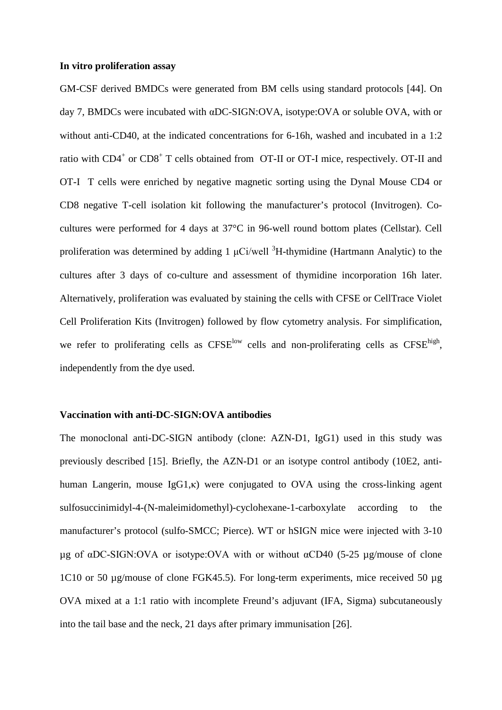#### **In vitro proliferation assay**

GM-CSF derived BMDCs were generated from BM cells using standard protocols [\[44\]](#page-23-11). On day 7, BMDCs were incubated with αDC-SIGN:OVA, isotype:OVA or soluble OVA, with or without anti-CD40, at the indicated concentrations for 6-16h, washed and incubated in a 1:2 ratio with  $CD4^+$  or  $CD8^+$  T cells obtained from OT-II or OT-I mice, respectively. OT-II and OT-I T cells were enriched by negative magnetic sorting using the Dynal Mouse CD4 or CD8 negative T-cell isolation kit following the manufacturer's protocol (Invitrogen). Cocultures were performed for 4 days at 37°C in 96-well round bottom plates (Cellstar). Cell proliferation was determined by adding 1  $\mu$ Ci/well <sup>3</sup>H-thymidine (Hartmann Analytic) to the cultures after 3 days of co-culture and assessment of thymidine incorporation 16h later. Alternatively, proliferation was evaluated by staining the cells with CFSE or CellTrace Violet Cell Proliferation Kits (Invitrogen) followed by flow cytometry analysis. For simplification, we refer to proliferating cells as  $CFSE^{low}$  cells and non-proliferating cells as  $CFSE^{high}$ , independently from the dye used.

#### **Vaccination with anti-DC-SIGN:OVA antibodies**

The monoclonal anti-DC-SIGN antibody (clone: AZN-D1, IgG1) used in this study was previously described [\[15\]](#page-22-0). Briefly, the AZN-D1 or an isotype control antibody (10E2, antihuman Langerin, mouse IgG1,κ) were conjugated to OVA using the cross-linking agent sulfosuccinimidyl-4-(N-maleimidomethyl)-cyclohexane-1-carboxylate according to the manufacturer's protocol (sulfo-SMCC; Pierce). WT or hSIGN mice were injected with 3-10 µg of αDC-SIGN:OVA or isotype:OVA with or without αCD40 (5-25 µg/mouse of clone 1C10 or 50 µg/mouse of clone FGK45.5). For long-term experiments, mice received 50 µg OVA mixed at a 1:1 ratio with incomplete Freund's adjuvant (IFA, Sigma) subcutaneously into the tail base and the neck, 21 days after primary immunisation [\[26\]](#page-22-10).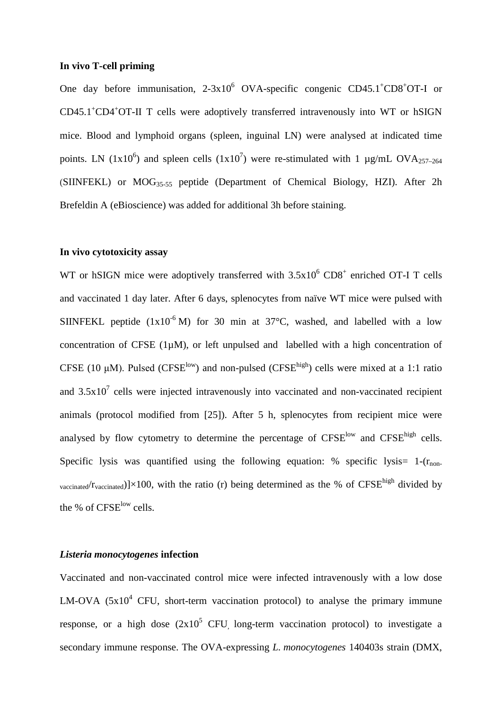#### **In vivo T-cell priming**

One day before immunisation,  $2-3x10^6$  OVA-specific congenic CD45.1<sup>+</sup>CD8<sup>+</sup>OT-I or CD45.1<sup>+</sup>CD4<sup>+</sup>OT-II T cells were adoptively transferred intravenously into WT or hSIGN mice. Blood and lymphoid organs (spleen, inguinal LN) were analysed at indicated time points. LN (1x10<sup>6</sup>) and spleen cells (1x10<sup>7</sup>) were re-stimulated with 1  $\mu$ g/mL OVA<sub>257-264</sub> (SIINFEKL) or MOG35-55 peptide (Department of Chemical Biology, HZI). After 2h Brefeldin A (eBioscience) was added for additional 3h before staining.

#### **In vivo cytotoxicity assay**

WT or hSIGN mice were adoptively transferred with  $3.5x10^6$  CD8<sup>+</sup> enriched OT-I T cells and vaccinated 1 day later. After 6 days, splenocytes from naïve WT mice were pulsed with SIINFEKL peptide  $(1x10^{-6} M)$  for 30 min at 37°C, washed, and labelled with a low concentration of CFSE  $(1\mu M)$ , or left unpulsed and labelled with a high concentration of CFSE (10  $\mu$ M). Pulsed (CFSE<sup>low</sup>) and non-pulsed (CFSE<sup>high</sup>) cells were mixed at a 1:1 ratio and  $3.5x10<sup>7</sup>$  cells were injected intravenously into vaccinated and non-vaccinated recipient animals (protocol modified from [\[25\]](#page-22-9)). After 5 h, splenocytes from recipient mice were analysed by flow cytometry to determine the percentage of  $CFSE^{low}$  and  $CFSE^{high}$  cells. Specific lysis was quantified using the following equation: % specific lysis  $1-(r_{\text{non}})$ vaccinated/ $r_{\text{vaccinated}}$ )]×100, with the ratio (r) being determined as the % of CFSE<sup>high</sup> divided by the % of CFSE<sup>low</sup> cells.

#### *Listeria monocytogenes* **infection**

Vaccinated and non-vaccinated control mice were infected intravenously with a low dose LM-OVA  $(5x10^4$  CFU, short-term vaccination protocol) to analyse the primary immune response, or a high dose  $(2x10^5$  CFU long-term vaccination protocol) to investigate a secondary immune response. The OVA-expressing *L. monocytogenes* 140403s strain (DMX,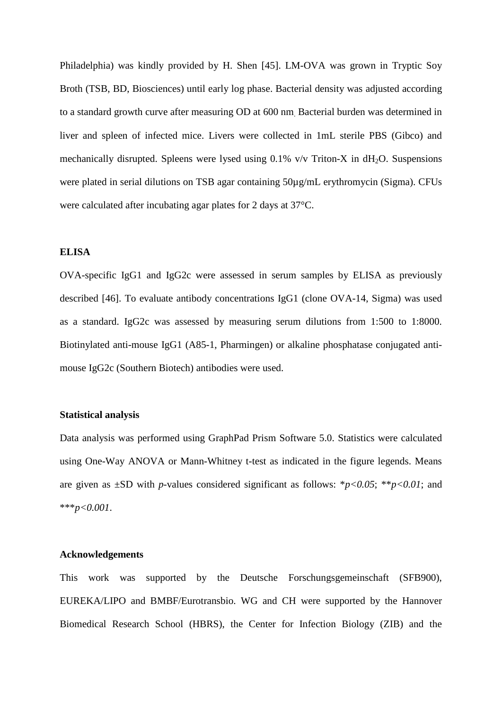Philadelphia) was kindly provided by H. Shen [\[45\]](#page-23-12). LM-OVA was grown in Tryptic Soy Broth (TSB, BD, Biosciences) until early log phase. Bacterial density was adjusted according to a standard growth curve after measuring OD at 600 nm. Bacterial burden was determined in liver and spleen of infected mice. Livers were collected in 1mL sterile PBS (Gibco) and mechanically disrupted. Spleens were lysed using  $0.1\%$  v/v Triton-X in dH<sub>2</sub>O. Suspensions were plated in serial dilutions on TSB agar containing  $50\mu g/mL$  erythromycin (Sigma). CFUs were calculated after incubating agar plates for 2 days at 37°C.

#### **ELISA**

OVA-specific IgG1 and IgG2c were assessed in serum samples by ELISA as previously described [\[46\]](#page-23-13). To evaluate antibody concentrations IgG1 (clone OVA-14, Sigma) was used as a standard. IgG2c was assessed by measuring serum dilutions from 1:500 to 1:8000. Biotinylated anti-mouse IgG1 (A85-1, Pharmingen) or alkaline phosphatase conjugated antimouse IgG2c (Southern Biotech) antibodies were used.

#### **Statistical analysis**

Data analysis was performed using GraphPad Prism Software 5.0. Statistics were calculated using One-Way ANOVA or Mann-Whitney t-test as indicated in the figure legends. Means are given as  $\pm$ SD with *p*-values considered significant as follows: \**p*<0.05; \*\**p*<0.01; and \*\*\**p<0.001*.

#### **Acknowledgements**

This work was supported by the Deutsche Forschungsgemeinschaft (SFB900), EUREKA/LIPO and BMBF/Eurotransbio. WG and CH were supported by the Hannover Biomedical Research School (HBRS), the Center for Infection Biology (ZIB) and the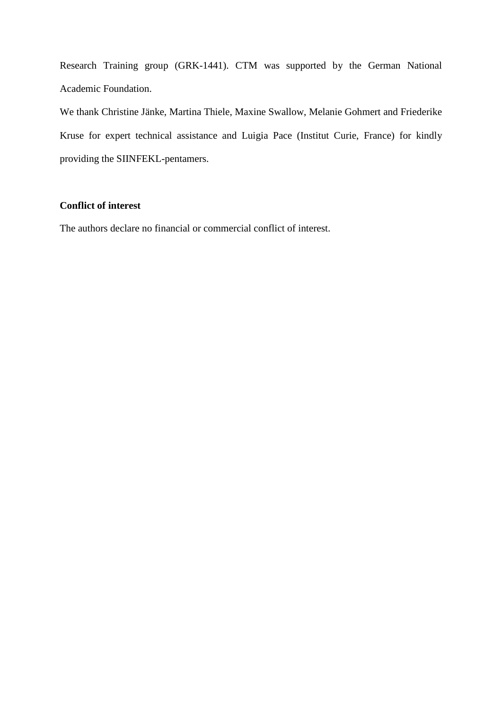Research Training group (GRK-1441). CTM was supported by the German National Academic Foundation.

We thank Christine Jänke, Martina Thiele, Maxine Swallow, Melanie Gohmert and Friederike Kruse for expert technical assistance and Luigia Pace (Institut Curie, France) for kindly providing the SIINFEKL-pentamers.

## **Conflict of interest**

The authors declare no financial or commercial conflict of interest.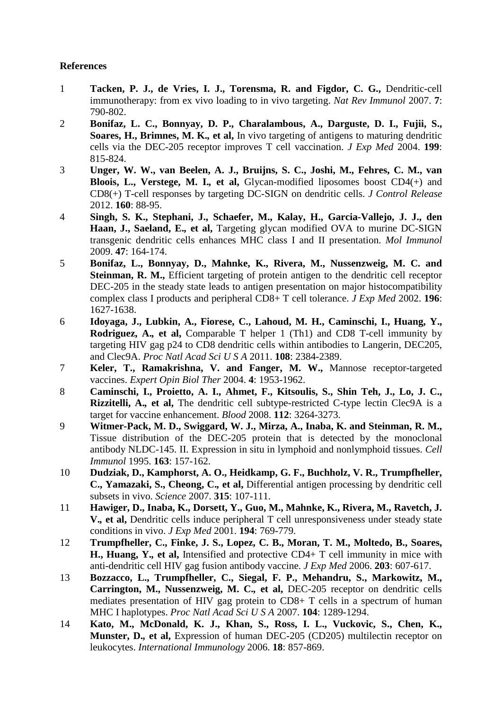### **References**

- <span id="page-21-0"></span>1 **Tacken, P. J., de Vries, I. J., Torensma, R. and Figdor, C. G.,** Dendritic-cell immunotherapy: from ex vivo loading to in vivo targeting. *Nat Rev Immunol* 2007. **7**: 790-802.
- <span id="page-21-1"></span>2 **Bonifaz, L. C., Bonnyay, D. P., Charalambous, A., Darguste, D. I., Fujii, S., Soares, H., Brimnes, M. K.***,* **et al,** In vivo targeting of antigens to maturing dendritic cells via the DEC-205 receptor improves T cell vaccination. *J Exp Med* 2004. **199**: 815-824.
- <span id="page-21-12"></span>3 **Unger, W. W., van Beelen, A. J., Bruijns, S. C., Joshi, M., Fehres, C. M., van Bloois, L., Verstege, M. I.***,* **et al,** Glycan-modified liposomes boost CD4(+) and CD8(+) T-cell responses by targeting DC-SIGN on dendritic cells. *J Control Release* 2012. **160**: 88-95.
- <span id="page-21-13"></span>4 **Singh, S. K., Stephani, J., Schaefer, M., Kalay, H., Garcia-Vallejo, J. J., den Haan, J., Saeland, E.***,* **et al,** Targeting glycan modified OVA to murine DC-SIGN transgenic dendritic cells enhances MHC class I and II presentation. *Mol Immunol* 2009. **47**: 164-174.
- <span id="page-21-2"></span>5 **Bonifaz, L., Bonnyay, D., Mahnke, K., Rivera, M., Nussenzweig, M. C. and Steinman, R. M.,** Efficient targeting of protein antigen to the dendritic cell receptor DEC-205 in the steady state leads to antigen presentation on major histocompatibility complex class I products and peripheral CD8+ T cell tolerance. *J Exp Med* 2002. **196**: 1627-1638.
- <span id="page-21-3"></span>6 **Idoyaga, J., Lubkin, A., Fiorese, C., Lahoud, M. H., Caminschi, I., Huang, Y., Rodriguez, A.***,* **et al,** Comparable T helper 1 (Th1) and CD8 T-cell immunity by targeting HIV gag p24 to CD8 dendritic cells within antibodies to Langerin, DEC205, and Clec9A. *Proc Natl Acad Sci U S A* 2011. **108**: 2384-2389.
- <span id="page-21-4"></span>7 **Keler, T., Ramakrishna, V. and Fanger, M. W.,** Mannose receptor-targeted vaccines. *Expert Opin Biol Ther* 2004. **4**: 1953-1962.
- <span id="page-21-5"></span>8 **Caminschi, I., Proietto, A. I., Ahmet, F., Kitsoulis, S., Shin Teh, J., Lo, J. C., Rizzitelli, A.***,* **et al,** The dendritic cell subtype-restricted C-type lectin Clec9A is a target for vaccine enhancement. *Blood* 2008. **112**: 3264-3273.
- <span id="page-21-6"></span>9 **Witmer-Pack, M. D., Swiggard, W. J., Mirza, A., Inaba, K. and Steinman, R. M.,** Tissue distribution of the DEC-205 protein that is detected by the monoclonal antibody NLDC-145. II. Expression in situ in lymphoid and nonlymphoid tissues. *Cell Immunol* 1995. **163**: 157-162.
- <span id="page-21-7"></span>10 **Dudziak, D., Kamphorst, A. O., Heidkamp, G. F., Buchholz, V. R., Trumpfheller, C., Yamazaki, S., Cheong, C.***,* **et al,** Differential antigen processing by dendritic cell subsets in vivo. *Science* 2007. **315**: 107-111.
- <span id="page-21-8"></span>11 **Hawiger, D., Inaba, K., Dorsett, Y., Guo, M., Mahnke, K., Rivera, M., Ravetch, J. V.***,* **et al,** Dendritic cells induce peripheral T cell unresponsiveness under steady state conditions in vivo. *J Exp Med* 2001. **194**: 769-779.
- <span id="page-21-9"></span>12 **Trumpfheller, C., Finke, J. S., Lopez, C. B., Moran, T. M., Moltedo, B., Soares, H., Huang, Y.***,* **et al,** Intensified and protective CD4+ T cell immunity in mice with anti-dendritic cell HIV gag fusion antibody vaccine. *J Exp Med* 2006. **203**: 607-617.
- <span id="page-21-10"></span>13 **Bozzacco, L., Trumpfheller, C., Siegal, F. P., Mehandru, S., Markowitz, M., Carrington, M., Nussenzweig, M. C.***,* **et al,** DEC-205 receptor on dendritic cells mediates presentation of HIV gag protein to CD8+ T cells in a spectrum of human MHC I haplotypes. *Proc Natl Acad Sci U S A* 2007. **104**: 1289-1294.
- <span id="page-21-11"></span>14 **Kato, M., McDonald, K. J., Khan, S., Ross, I. L., Vuckovic, S., Chen, K., Munster, D.***,* **et al,** Expression of human DEC-205 (CD205) multilectin receptor on leukocytes. *International Immunology* 2006. **18**: 857-869.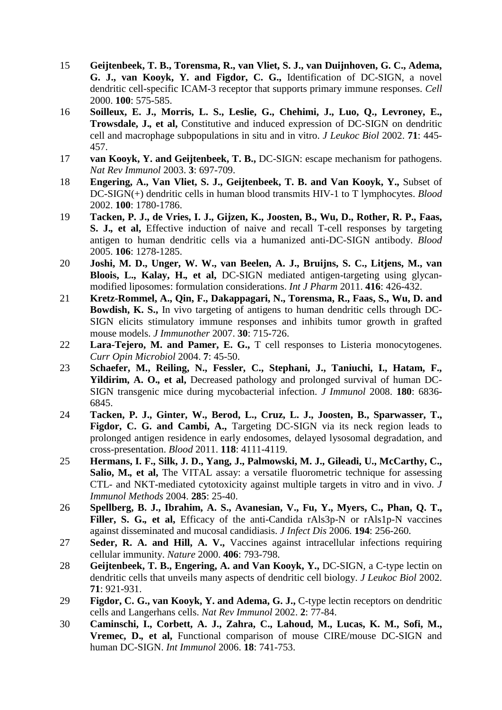- <span id="page-22-0"></span>15 **Geijtenbeek, T. B., Torensma, R., van Vliet, S. J., van Duijnhoven, G. C., Adema, G. J., van Kooyk, Y. and Figdor, C. G.,** Identification of DC-SIGN, a novel dendritic cell-specific ICAM-3 receptor that supports primary immune responses. *Cell* 2000. **100**: 575-585.
- <span id="page-22-1"></span>16 **Soilleux, E. J., Morris, L. S., Leslie, G., Chehimi, J., Luo, Q., Levroney, E., Trowsdale, J.***,* **et al,** Constitutive and induced expression of DC-SIGN on dendritic cell and macrophage subpopulations in situ and in vitro. *J Leukoc Biol* 2002. **71**: 445- 457.
- <span id="page-22-12"></span>17 **van Kooyk, Y. and Geijtenbeek, T. B.,** DC-SIGN: escape mechanism for pathogens. *Nat Rev Immunol* 2003. **3**: 697-709.
- <span id="page-22-2"></span>18 **Engering, A., Van Vliet, S. J., Geijtenbeek, T. B. and Van Kooyk, Y.,** Subset of DC-SIGN(+) dendritic cells in human blood transmits HIV-1 to T lymphocytes. *Blood* 2002. **100**: 1780-1786.
- <span id="page-22-3"></span>19 **Tacken, P. J., de Vries, I. J., Gijzen, K., Joosten, B., Wu, D., Rother, R. P., Faas, S. J.***,* **et al,** Effective induction of naive and recall T-cell responses by targeting antigen to human dendritic cells via a humanized anti-DC-SIGN antibody. *Blood* 2005. **106**: 1278-1285.
- <span id="page-22-4"></span>20 **Joshi, M. D., Unger, W. W., van Beelen, A. J., Bruijns, S. C., Litjens, M., van Bloois, L., Kalay, H.***,* **et al,** DC-SIGN mediated antigen-targeting using glycanmodified liposomes: formulation considerations. *Int J Pharm* 2011. **416**: 426-432.
- <span id="page-22-5"></span>21 **Kretz-Rommel, A., Qin, F., Dakappagari, N., Torensma, R., Faas, S., Wu, D. and Bowdish, K. S.,** In vivo targeting of antigens to human dendritic cells through DC-SIGN elicits stimulatory immune responses and inhibits tumor growth in grafted mouse models. *J Immunother* 2007. **30**: 715-726.
- <span id="page-22-6"></span>22 **Lara-Tejero, M. and Pamer, E. G.,** T cell responses to Listeria monocytogenes. *Curr Opin Microbiol* 2004. **7**: 45-50.
- <span id="page-22-7"></span>23 **Schaefer, M., Reiling, N., Fessler, C., Stephani, J., Taniuchi, I., Hatam, F., Yildirim, A. O.***,* **et al,** Decreased pathology and prolonged survival of human DC-SIGN transgenic mice during mycobacterial infection. *J Immunol* 2008. **180**: 6836- 6845.
- <span id="page-22-8"></span>24 **Tacken, P. J., Ginter, W., Berod, L., Cruz, L. J., Joosten, B., Sparwasser, T.,**  Figdor, C. G. and Cambi, A., Targeting DC-SIGN via its neck region leads to prolonged antigen residence in early endosomes, delayed lysosomal degradation, and cross-presentation. *Blood* 2011. **118**: 4111-4119.
- <span id="page-22-9"></span>25 **Hermans, I. F., Silk, J. D., Yang, J., Palmowski, M. J., Gileadi, U., McCarthy, C., Salio, M.***,* **et al,** The VITAL assay: a versatile fluorometric technique for assessing CTL- and NKT-mediated cytotoxicity against multiple targets in vitro and in vivo. *J Immunol Methods* 2004. **285**: 25-40.
- <span id="page-22-10"></span>26 **Spellberg, B. J., Ibrahim, A. S., Avanesian, V., Fu, Y., Myers, C., Phan, Q. T.,**  Filler, S. G., et al., Efficacy of the anti-Candida rAls3p-N or rAls1p-N vaccines against disseminated and mucosal candidiasis. *J Infect Dis* 2006. **194**: 256-260.
- <span id="page-22-11"></span>27 **Seder, R. A. and Hill, A. V.,** Vaccines against intracellular infections requiring cellular immunity. *Nature* 2000. **406**: 793-798.
- <span id="page-22-13"></span>28 **Geijtenbeek, T. B., Engering, A. and Van Kooyk, Y.,** DC-SIGN, a C-type lectin on dendritic cells that unveils many aspects of dendritic cell biology. *J Leukoc Biol* 2002. **71**: 921-931.
- <span id="page-22-14"></span>29 **Figdor, C. G., van Kooyk, Y. and Adema, G. J.,** C-type lectin receptors on dendritic cells and Langerhans cells. *Nat Rev Immunol* 2002. **2**: 77-84.
- <span id="page-22-15"></span>30 **Caminschi, I., Corbett, A. J., Zahra, C., Lahoud, M., Lucas, K. M., Sofi, M., Vremec, D.***,* **et al,** Functional comparison of mouse CIRE/mouse DC-SIGN and human DC-SIGN. *Int Immunol* 2006. **18**: 741-753.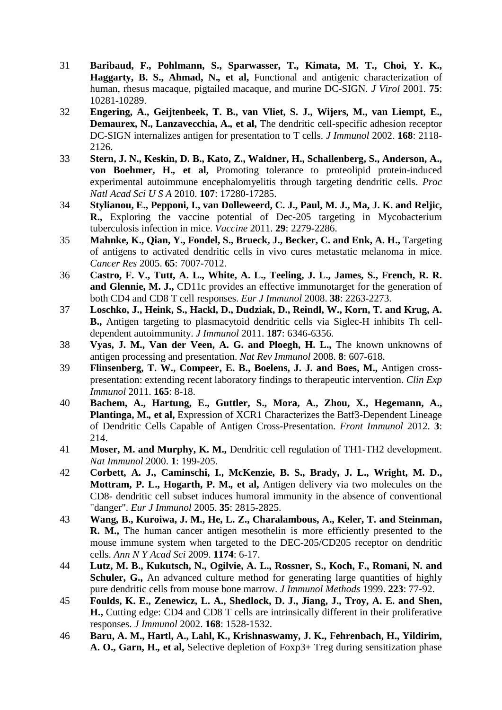- <span id="page-23-0"></span>31 **Baribaud, F., Pohlmann, S., Sparwasser, T., Kimata, M. T., Choi, Y. K., Haggarty, B. S., Ahmad, N.***,* **et al,** Functional and antigenic characterization of human, rhesus macaque, pigtailed macaque, and murine DC-SIGN. *J Virol* 2001. **75**: 10281-10289.
- <span id="page-23-1"></span>32 **Engering, A., Geijtenbeek, T. B., van Vliet, S. J., Wijers, M., van Liempt, E., Demaurex, N., Lanzavecchia, A.***,* **et al,** The dendritic cell-specific adhesion receptor DC-SIGN internalizes antigen for presentation to T cells. *J Immunol* 2002. **168**: 2118- 2126.
- <span id="page-23-2"></span>33 **Stern, J. N., Keskin, D. B., Kato, Z., Waldner, H., Schallenberg, S., Anderson, A., von Boehmer, H.***,* **et al,** Promoting tolerance to proteolipid protein-induced experimental autoimmune encephalomyelitis through targeting dendritic cells. *Proc Natl Acad Sci U S A* 2010. **107**: 17280-17285.
- <span id="page-23-9"></span>34 **Stylianou, E., Pepponi, I., van Dolleweerd, C. J., Paul, M. J., Ma, J. K. and Reljic, R.,** Exploring the vaccine potential of Dec-205 targeting in Mycobacterium tuberculosis infection in mice. *Vaccine* 2011. **29**: 2279-2286.
- 35 **Mahnke, K., Qian, Y., Fondel, S., Brueck, J., Becker, C. and Enk, A. H.,** Targeting of antigens to activated dendritic cells in vivo cures metastatic melanoma in mice. *Cancer Res* 2005. **65**: 7007-7012.
- <span id="page-23-5"></span>36 **Castro, F. V., Tutt, A. L., White, A. L., Teeling, J. L., James, S., French, R. R. and Glennie, M. J.,** CD11c provides an effective immunotarget for the generation of both CD4 and CD8 T cell responses. *Eur J Immunol* 2008. **38**: 2263-2273.
- 37 **Loschko, J., Heink, S., Hackl, D., Dudziak, D., Reindl, W., Korn, T. and Krug, A. B.,** Antigen targeting to plasmacytoid dendritic cells via Siglec-H inhibits Th celldependent autoimmunity. *J Immunol* 2011. **187**: 6346-6356.
- <span id="page-23-3"></span>38 **Vyas, J. M., Van der Veen, A. G. and Ploegh, H. L.,** The known unknowns of antigen processing and presentation. *Nat Rev Immunol* 2008. **8**: 607-618.
- <span id="page-23-4"></span>39 **Flinsenberg, T. W., Compeer, E. B., Boelens, J. J. and Boes, M.,** Antigen crosspresentation: extending recent laboratory findings to therapeutic intervention. *Clin Exp Immunol* 2011. **165**: 8-18.
- <span id="page-23-6"></span>40 **Bachem, A., Hartung, E., Guttler, S., Mora, A., Zhou, X., Hegemann, A., Plantinga, M.***,* **et al,** Expression of XCR1 Characterizes the Batf3-Dependent Lineage of Dendritic Cells Capable of Antigen Cross-Presentation. *Front Immunol* 2012. **3**: 214.
- <span id="page-23-7"></span>41 **Moser, M. and Murphy, K. M.,** Dendritic cell regulation of TH1-TH2 development. *Nat Immunol* 2000. **1**: 199-205.
- <span id="page-23-8"></span>42 **Corbett, A. J., Caminschi, I., McKenzie, B. S., Brady, J. L., Wright, M. D., Mottram, P. L., Hogarth, P. M.***,* **et al,** Antigen delivery via two molecules on the CD8- dendritic cell subset induces humoral immunity in the absence of conventional "danger". *Eur J Immunol* 2005. **35**: 2815-2825.
- <span id="page-23-10"></span>43 **Wang, B., Kuroiwa, J. M., He, L. Z., Charalambous, A., Keler, T. and Steinman, R. M.,** The human cancer antigen mesothelin is more efficiently presented to the mouse immune system when targeted to the DEC-205/CD205 receptor on dendritic cells. *Ann N Y Acad Sci* 2009. **1174**: 6-17.
- <span id="page-23-11"></span>44 **Lutz, M. B., Kukutsch, N., Ogilvie, A. L., Rossner, S., Koch, F., Romani, N. and**  Schuler, G., An advanced culture method for generating large quantities of highly pure dendritic cells from mouse bone marrow. *J Immunol Methods* 1999. **223**: 77-92.
- <span id="page-23-12"></span>45 **Foulds, K. E., Zenewicz, L. A., Shedlock, D. J., Jiang, J., Troy, A. E. and Shen, H.,** Cutting edge: CD4 and CD8 T cells are intrinsically different in their proliferative responses. *J Immunol* 2002. **168**: 1528-1532.
- <span id="page-23-13"></span>46 **Baru, A. M., Hartl, A., Lahl, K., Krishnaswamy, J. K., Fehrenbach, H., Yildirim, A. O., Garn, H.***,* **et al,** Selective depletion of Foxp3+ Treg during sensitization phase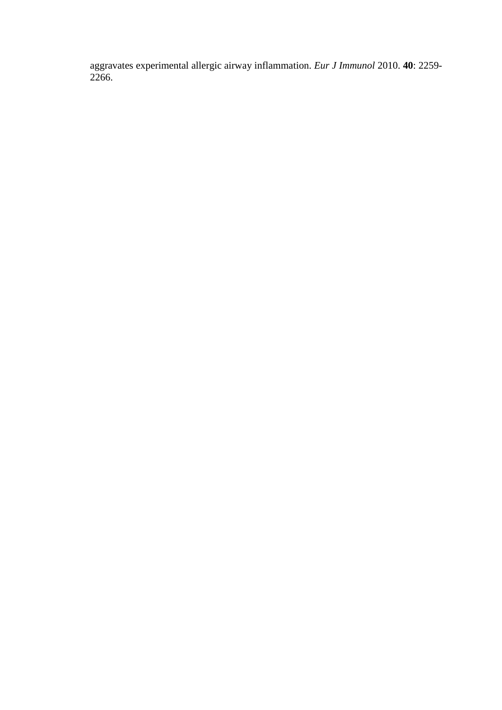aggravates experimental allergic airway inflammation. *Eur J Immunol* 2010. **40**: 2259- 2266.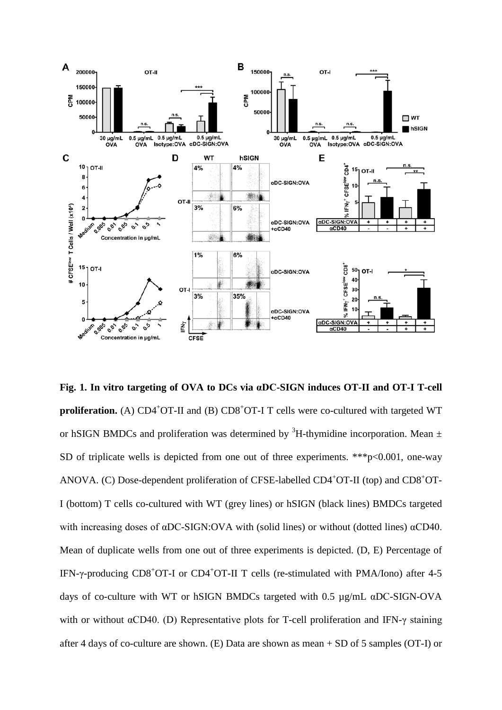

**Fig. 1. In vitro targeting of OVA to DCs via αDC-SIGN induces OT-II and OT-I T-cell**  proliferation. (A) CD4<sup>+</sup>OT-II and (B) CD8<sup>+</sup>OT-I T cells were co-cultured with targeted WT or hSIGN BMDCs and proliferation was determined by  ${}^{3}H$ -thymidine incorporation. Mean  $\pm$ SD of triplicate wells is depicted from one out of three experiments. \*\*\*p<0.001, one-way ANOVA. (C) Dose-dependent proliferation of CFSE-labelled CD4<sup>+</sup>OT-II (top) and CD8<sup>+</sup>OT-I (bottom) T cells co-cultured with WT (grey lines) or hSIGN (black lines) BMDCs targeted with increasing doses of αDC-SIGN:OVA with (solid lines) or without (dotted lines) αCD40. Mean of duplicate wells from one out of three experiments is depicted. (D, E) Percentage of IFN-γ-producing CD8<sup>+</sup>OT-I or CD4<sup>+</sup>OT-II T cells (re-stimulated with PMA/Iono) after 4-5 days of co-culture with WT or hSIGN BMDCs targeted with 0.5 µg/mL αDC-SIGN-OVA with or without αCD40. (D) Representative plots for T-cell proliferation and IFN-γ staining after 4 days of co-culture are shown. (E) Data are shown as mean + SD of 5 samples (OT-I) or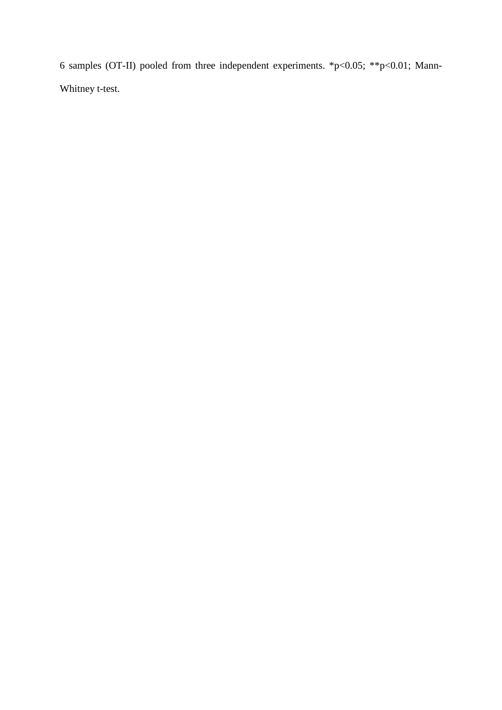6 samples (OT-II) pooled from three independent experiments. \*p<0.05; \*\*p<0.01; Mann-Whitney t-test.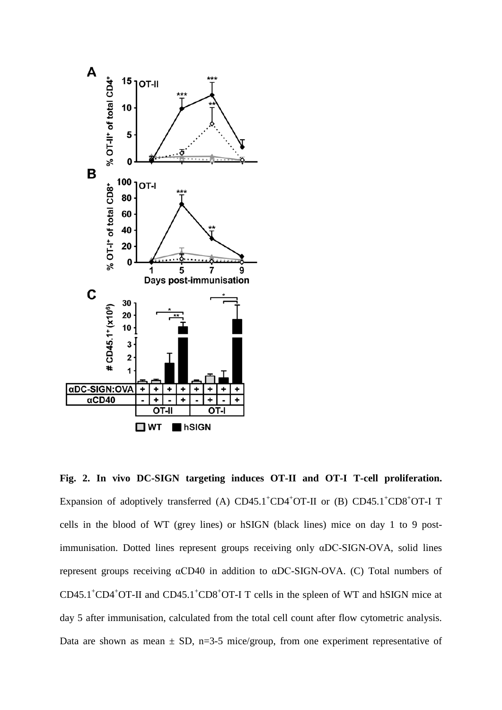

**Fig. 2. In vivo DC-SIGN targeting induces OT-II and OT-I T-cell proliferation.**  Expansion of adoptively transferred (A)  $CD45.1^{\circ}CD4^{\circ}OT$ -II or (B)  $CD45.1^{\circ}CD8^{\circ}OT$ -I T cells in the blood of WT (grey lines) or hSIGN (black lines) mice on day 1 to 9 postimmunisation. Dotted lines represent groups receiving only αDC-SIGN-OVA, solid lines represent groups receiving αCD40 in addition to αDC-SIGN-OVA. (C) Total numbers of  $CD45.1^{\circ}CD4^{\circ}OT$ -II and  $CD45.1^{\circ}CD8^{\circ}OT$ -I T cells in the spleen of WT and hSIGN mice at day 5 after immunisation, calculated from the total cell count after flow cytometric analysis. Data are shown as mean  $\pm$  SD, n=3-5 mice/group, from one experiment representative of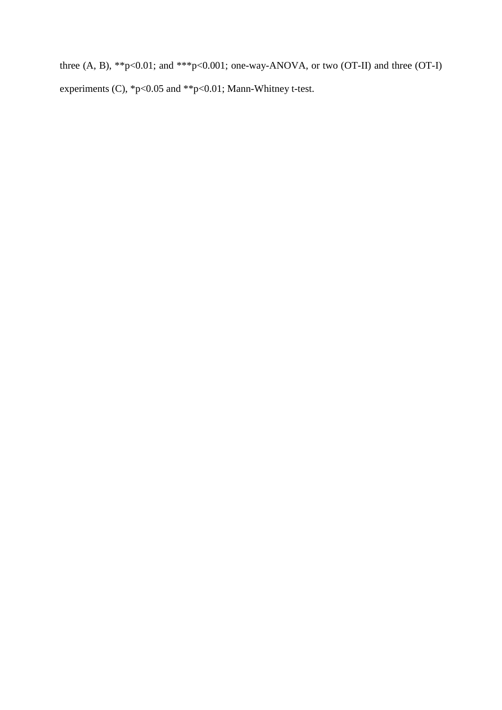three  $(A, B)$ , \*\*p<0.01; and \*\*\*p<0.001; one-way-ANOVA, or two  $(OT-II)$  and three  $(OT-I)$ experiments (C), \*p<0.05 and \*\*p<0.01; Mann-Whitney t-test.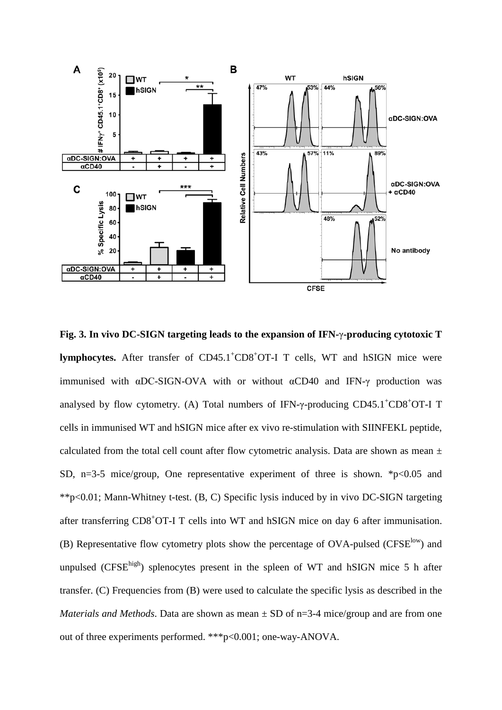

**Fig. 3. In vivo DC-SIGN targeting leads to the expansion of IFN-**γ**-producing cytotoxic T**  lymphocytes. After transfer of CD45.1<sup>+</sup>CD8<sup>+</sup>OT-I T cells, WT and hSIGN mice were immunised with  $\alpha$ DC-SIGN-OVA with or without  $\alpha$ CD40 and IFN- $\gamma$  production was analysed by flow cytometry. (A) Total numbers of IFN- $\gamma$ -producing CD45.1<sup>+</sup>CD8<sup>+</sup>OT-I T cells in immunised WT and hSIGN mice after ex vivo re-stimulation with SIINFEKL peptide, calculated from the total cell count after flow cytometric analysis. Data are shown as mean  $\pm$ SD, n=3-5 mice/group, One representative experiment of three is shown.  $*_{p<0.05}$  and \*\*p<0.01; Mann-Whitney t-test. (B, C) Specific lysis induced by in vivo DC-SIGN targeting after transferring CD8<sup>+</sup>OT-I T cells into WT and hSIGN mice on day 6 after immunisation. (B) Representative flow cytometry plots show the percentage of  $OVA$ -pulsed (CFSE<sup>low</sup>) and unpulsed ( $CFSE<sup>high</sup>$ ) splenocytes present in the spleen of WT and hSIGN mice 5 h after transfer. (C) Frequencies from (B) were used to calculate the specific lysis as described in the *Materials and Methods*. Data are shown as mean  $\pm$  SD of n=3-4 mice/group and are from one out of three experiments performed. \*\*\*p<0.001; one-way-ANOVA.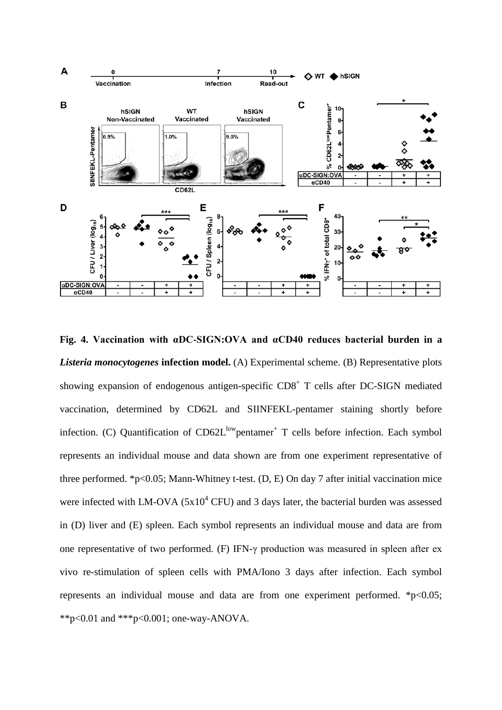![](_page_30_Figure_0.jpeg)

**Fig. 4. Vaccination with αDC-SIGN:OVA and αCD40 reduces bacterial burden in a** *Listeria monocytogenes* **infection model.** (A) Experimental scheme. (B) Representative plots showing expansion of endogenous antigen-specific  $CD8<sup>+</sup>$  T cells after DC-SIGN mediated vaccination, determined by CD62L and SIINFEKL-pentamer staining shortly before infection. (C) Quantification of  $CD62L^{low}$ pentamer<sup>+</sup> T cells before infection. Each symbol represents an individual mouse and data shown are from one experiment representative of three performed. \*p<0.05; Mann-Whitney t-test.  $(D, E)$  On day 7 after initial vaccination mice were infected with LM-OVA  $(5x10^4$  CFU) and 3 days later, the bacterial burden was assessed in (D) liver and (E) spleen. Each symbol represents an individual mouse and data are from one representative of two performed. (F) IFN-γ production was measured in spleen after ex vivo re-stimulation of spleen cells with PMA/Iono 3 days after infection. Each symbol represents an individual mouse and data are from one experiment performed.  $*p<0.05$ ; \*\*p<0.01 and \*\*\*p<0.001; one-way-ANOVA.